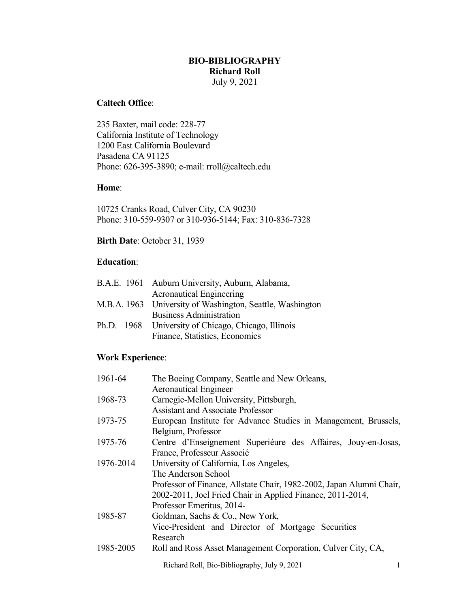# **BIO-BIBLIOGRAPHY Richard Roll**

July 9, 2021

# **Caltech Office**:

235 Baxter, mail code: 228-77 California Institute of Technology 1200 East California Boulevard Pasadena CA 91125 Phone: 626-395-3890; e-mail: rroll@caltech.edu

#### **Home**:

10725 Cranks Road, Culver City, CA 90230 Phone: 310-559-9307 or 310-936-5144; Fax: 310-836-7328

# **Birth Date**: October 31, 1939

#### **Education**:

|  | B.A.E. 1961 Auburn University, Auburn, Alabama,           |
|--|-----------------------------------------------------------|
|  | <b>Aeronautical Engineering</b>                           |
|  | M.B.A. 1963 University of Washington, Seattle, Washington |
|  | <b>Business Administration</b>                            |
|  | Ph.D. 1968 University of Chicago, Chicago, Illinois       |
|  | Finance, Statistics, Economics                            |

### **Work Experience**:

| 1961-64   | The Boeing Company, Seattle and New Orleans,                         |  |  |
|-----------|----------------------------------------------------------------------|--|--|
|           | <b>Aeronautical Engineer</b>                                         |  |  |
| 1968-73   | Carnegie-Mellon University, Pittsburgh,                              |  |  |
|           | <b>Assistant and Associate Professor</b>                             |  |  |
| 1973-75   | European Institute for Advance Studies in Management, Brussels,      |  |  |
|           | Belgium, Professor                                                   |  |  |
| 1975-76   | Centre d'Enseignement Superieure des Affaires, Jouy-en-Josas,        |  |  |
|           | France, Professeur Associé                                           |  |  |
| 1976-2014 | University of California, Los Angeles,                               |  |  |
|           | The Anderson School                                                  |  |  |
|           | Professor of Finance, Allstate Chair, 1982-2002, Japan Alumni Chair, |  |  |
|           | 2002-2011, Joel Fried Chair in Applied Finance, 2011-2014,           |  |  |
|           | Professor Emeritus, 2014-                                            |  |  |
| 1985-87   | Goldman, Sachs & Co., New York,                                      |  |  |
|           | Vice-President and Director of Mortgage Securities                   |  |  |
|           | Research                                                             |  |  |
| 1985-2005 | Roll and Ross Asset Management Corporation, Culver City, CA,         |  |  |

Richard Roll, Bio-Bibliography, July 9, 2021 1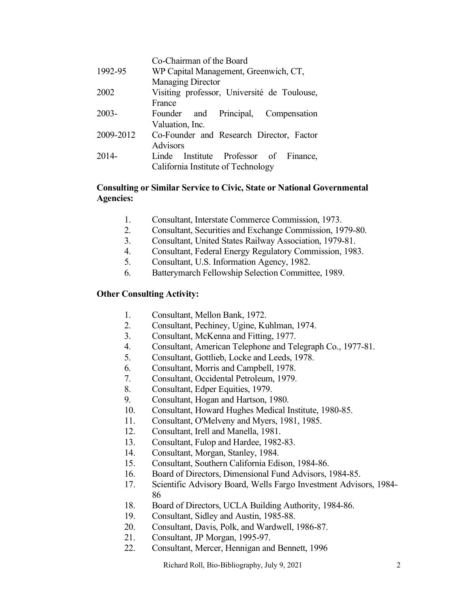|           | Co-Chairman of the Board                    |
|-----------|---------------------------------------------|
| 1992-95   | WP Capital Management, Greenwich, CT,       |
|           | Managing Director                           |
| 2002      | Visiting professor, Université de Toulouse, |
|           | France                                      |
| $2003 -$  | Founder and Principal, Compensation         |
|           | Valuation, Inc.                             |
| 2009-2012 | Co-Founder and Research Director, Factor    |
|           | <b>Advisors</b>                             |
| $2014-$   | Institute Professor of Finance,<br>Linde    |
|           | California Institute of Technology          |
|           |                                             |

### **Consulting or Similar Service to Civic, State or National Governmental Agencies:**

- 1. Consultant, Interstate Commerce Commission, 1973.
- 2. Consultant, Securities and Exchange Commission, 1979-80.
- 3. Consultant, United States Railway Association, 1979-81.
- 4. Consultant, Federal Energy Regulatory Commission, 1983.
- 5. Consultant, U.S. Information Agency, 1982.
- 6. Batterymarch Fellowship Selection Committee, 1989.

#### **Other Consulting Activity:**

- 1. Consultant, Mellon Bank, 1972.
- 2. Consultant, Pechiney, Ugine, Kuhlman, 1974.
- 3. Consultant, McKenna and Fitting, 1977.
- 4. Consultant, American Telephone and Telegraph Co., 1977-81.
- 5. Consultant, Gottlieb, Locke and Leeds, 1978.
- 6. Consultant, Morris and Campbell, 1978.
- 7. Consultant, Occidental Petroleum, 1979.
- 8. Consultant, Edper Equities, 1979.
- 9. Consultant, Hogan and Hartson, 1980.
- 10. Consultant, Howard Hughes Medical Institute, 1980-85.
- 11. Consultant, O'Melveny and Myers, 1981, 1985.
- 12. Consultant, Irell and Manella, 1981.
- 13. Consultant, Fulop and Hardee, 1982-83.
- 14. Consultant, Morgan, Stanley, 1984.
- 15. Consultant, Southern California Edison, 1984-86.
- 16. Board of Directors, Dimensional Fund Advisors, 1984-85.
- 17. Scientific Advisory Board, Wells Fargo Investment Advisors, 1984- 86
- 18. Board of Directors, UCLA Building Authority, 1984-86.
- 19. Consultant, Sidley and Austin, 1985-88.
- 20. Consultant, Davis, Polk, and Wardwell, 1986-87.
- 21. Consultant, JP Morgan, 1995-97.
- 22. Consultant, Mercer, Hennigan and Bennett, 1996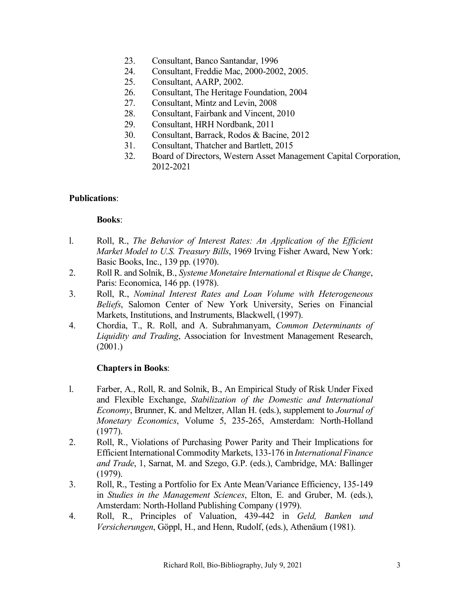- 23. Consultant, Banco Santandar, 1996
- 24. Consultant, Freddie Mac, 2000-2002, 2005.
- 25. Consultant, AARP, 2002.
- 26. Consultant, The Heritage Foundation, 2004
- 27. Consultant, Mintz and Levin, 2008
- 28. Consultant, Fairbank and Vincent, 2010
- 29. Consultant, HRH Nordbank, 2011
- 30. Consultant, Barrack, Rodos & Bacine, 2012
- 31. Consultant, Thatcher and Bartlett, 2015
- 32. Board of Directors, Western Asset Management Capital Corporation, 2012-2021

#### **Publications**:

#### **Books**:

- l. Roll, R., *The Behavior of Interest Rates: An Application of the Efficient Market Model to U.S. Treasury Bills*, 1969 Irving Fisher Award, New York: Basic Books, Inc., 139 pp. (1970).
- 2. Roll R. and Solnik, B., *Systeme Monetaire International et Risque de Change*, Paris: Economica, 146 pp. (1978).
- 3. Roll, R., *Nominal Interest Rates and Loan Volume with Heterogeneous Beliefs*, Salomon Center of New York University, Series on Financial Markets, Institutions, and Instruments, Blackwell, (1997).
- 4. Chordia, T., R. Roll, and A. Subrahmanyam, *Common Determinants of Liquidity and Trading*, Association for Investment Management Research, (2001.)

### **Chapters in Books**:

- l. Farber, A., Roll, R. and Solnik, B., An Empirical Study of Risk Under Fixed and Flexible Exchange, *Stabilization of the Domestic and International Economy*, Brunner, K. and Meltzer, Allan H. (eds.), supplement to *Journal of Monetary Economics*, Volume 5, 235-265, Amsterdam: North-Holland (1977).
- 2. Roll, R., Violations of Purchasing Power Parity and Their Implications for Efficient International Commodity Markets, 133-176 in *International Finance and Trade*, 1, Sarnat, M. and Szego, G.P. (eds.), Cambridge, MA: Ballinger (1979).
- 3. Roll, R., Testing a Portfolio for Ex Ante Mean/Variance Efficiency, 135-149 in *Studies in the Management Sciences*, Elton, E. and Gruber, M. (eds.), Amsterdam: North-Holland Publishing Company (1979).
- 4. Roll, R., Principles of Valuation, 439-442 in *Geld, Banken und Versicherungen*, Göppl, H., and Henn, Rudolf, (eds.), Athenäum (1981).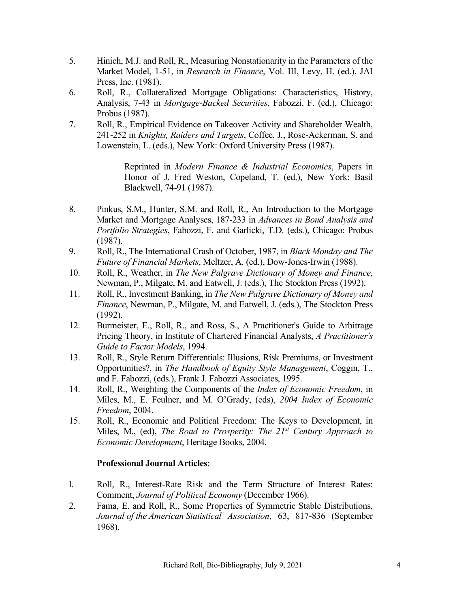- 5. Hinich, M.J. and Roll, R., Measuring Nonstationarity in the Parameters of the Market Model, 1-51, in *Research in Finance*, Vol. III, Levy, H. (ed.), JAI Press, Inc. (1981).
- 6. Roll, R., Collateralized Mortgage Obligations: Characteristics, History, Analysis, 7-43 in *Mortgage-Backed Securities*, Fabozzi, F. (ed.), Chicago: Probus (1987).
- 7. Roll, R., Empirical Evidence on Takeover Activity and Shareholder Wealth, 241-252 in *Knights, Raiders and Targets*, Coffee, J., Rose-Ackerman, S. and Lowenstein, L. (eds.), New York: Oxford University Press (1987).

Reprinted in *Modern Finance & Industrial Economics*, Papers in Honor of J. Fred Weston, Copeland, T. (ed.), New York: Basil Blackwell, 74-91 (1987).

- 8. Pinkus, S.M., Hunter, S.M. and Roll, R., An Introduction to the Mortgage Market and Mortgage Analyses, 187-233 in *Advances in Bond Analysis and Portfolio Strategies*, Fabozzi, F. and Garlicki, T.D. (eds.), Chicago: Probus (1987).
- 9. Roll, R., The International Crash of October, 1987, in *Black Monday and The Future of Financial Markets*, Meltzer, A. (ed.), Dow-Jones-Irwin (1988).
- 10. Roll, R., Weather, in *The New Palgrave Dictionary of Money and Finance*, Newman, P., Milgate, M. and Eatwell, J. (eds.), The Stockton Press (1992).
- 11. Roll, R., Investment Banking, in *The New Palgrave Dictionary of Money and Finance*, Newman, P., Milgate, M. and Eatwell, J. (eds.), The Stockton Press (1992).
- 12. Burmeister, E., Roll, R., and Ross, S., A Practitioner's Guide to Arbitrage Pricing Theory, in Institute of Chartered Financial Analysts, *A Practitioner's Guide to Factor Models*, 1994.
- 13. Roll, R., Style Return Differentials: Illusions, Risk Premiums, or Investment Opportunities?, in *The Handbook of Equity Style Management*, Coggin, T., and F. Fabozzi, (eds.), Frank J. Fabozzi Associates, 1995.
- 14. Roll, R., Weighting the Components of the *Index of Economic Freedom*, in Miles, M., E. Feulner, and M. O'Grady, (eds), *2004 Index of Economic Freedom*, 2004.
- 15. Roll, R., Economic and Political Freedom: The Keys to Development, in Miles, M., (ed), *The Road to Prosperity: The 21st Century Approach to Economic Development*, Heritage Books, 2004.

# **Professional Journal Articles**:

- l. Roll, R., Interest-Rate Risk and the Term Structure of Interest Rates: Comment, *Journal of Political Economy* (December 1966).
- 2. Fama, E. and Roll, R., Some Properties of Symmetric Stable Distributions, *Journal of the American Statistical Association*, 63, 817-836 (September 1968).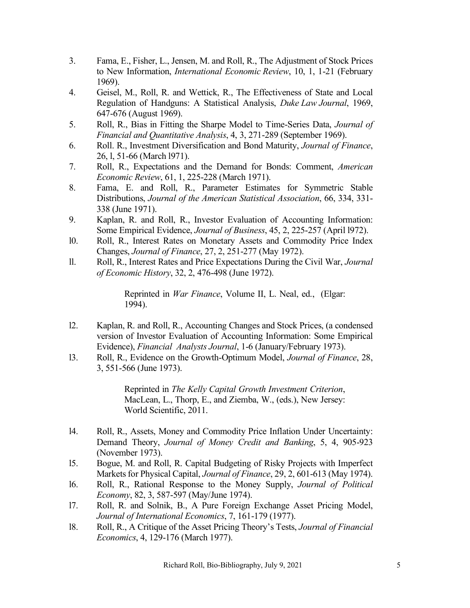- 3. Fama, E., Fisher, L., Jensen, M. and Roll, R., The Adjustment of Stock Prices to New Information, *International Economic Review*, 10, 1, 1-21 (February 1969).
- 4. Geisel, M., Roll, R. and Wettick, R., The Effectiveness of State and Local Regulation of Handguns: A Statistical Analysis, *Duke Law Journal*, 1969, 647-676 (August 1969).
- 5. Roll, R., Bias in Fitting the Sharpe Model to Time-Series Data, *Journal of Financial and Quantitative Analysis*, 4, 3, 271-289 (September 1969).
- 6. Roll. R., Investment Diversification and Bond Maturity, *Journal of Finance*, 26, l, 51-66 (March l971).
- 7. Roll, R., Expectations and the Demand for Bonds: Comment, *American Economic Review*, 61, 1, 225-228 (March 1971).
- 8. Fama, E. and Roll, R., Parameter Estimates for Symmetric Stable Distributions, *Journal of the American Statistical Association*, 66, 334, 331- 338 (June 1971).
- 9. Kaplan, R. and Roll, R., Investor Evaluation of Accounting Information: Some Empirical Evidence, *Journal of Business*, 45, 2, 225-257 (April l972).
- l0. Roll, R., Interest Rates on Monetary Assets and Commodity Price Index Changes, *Journal of Finance*, 27, 2, 251-277 (May 1972).
- ll. Roll, R., Interest Rates and Price Expectations During the Civil War, *Journal of Economic History*, 32, 2, 476-498 (June 1972).

Reprinted in *War Finance*, Volume II, L. Neal, ed., (Elgar: 1994).

- l2. Kaplan, R. and Roll, R., Accounting Changes and Stock Prices, (a condensed version of Investor Evaluation of Accounting Information: Some Empirical Evidence), *Financial Analysts Journal*, 1-6 (January/February 1973).
- l3. Roll, R., Evidence on the Growth-Optimum Model, *Journal of Finance*, 28, 3, 551-566 (June 1973).

Reprinted in *The Kelly Capital Growth Investment Criterion*, MacLean, L., Thorp, E., and Ziemba, W., (eds.), New Jersey: World Scientific, 2011.

- l4. Roll, R., Assets, Money and Commodity Price Inflation Under Uncertainty: Demand Theory, *Journal of Money Credit and Banking*, 5, 4, 905-923 (November 1973).
- l5. Bogue, M. and Roll, R. Capital Budgeting of Risky Projects with Imperfect Markets for Physical Capital, *Journal of Finance*, 29, 2, 601-613 (May 1974).
- l6. Roll, R., Rational Response to the Money Supply, *Journal of Political Economy*, 82, 3, 587-597 (May/June 1974).
- l7. Roll, R. and Solnik, B., A Pure Foreign Exchange Asset Pricing Model, *Journal of International Economics*, 7, 161-179 (1977).
- l8. Roll, R., A Critique of the Asset Pricing Theory's Tests, *Journal of Financial Economics*, 4, 129-176 (March 1977).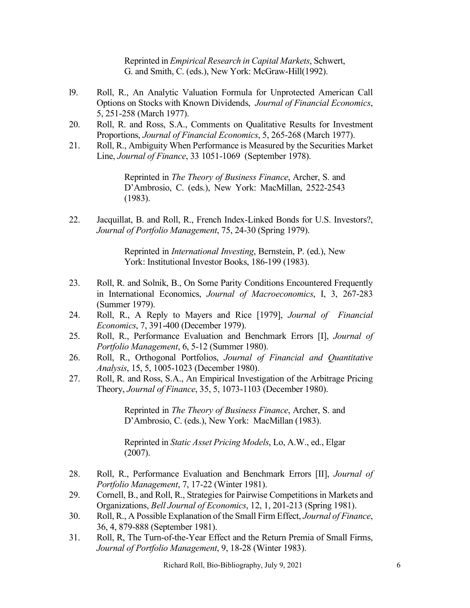Reprinted in *Empirical Research in Capital Markets*, Schwert, G. and Smith, C. (eds.), New York: McGraw-Hill(1992).

- l9. Roll, R., An Analytic Valuation Formula for Unprotected American Call Options on Stocks with Known Dividends, *Journal of Financial Economics*, 5, 251-258 (March 1977).
- 20. Roll, R. and Ross, S.A., Comments on Qualitative Results for Investment Proportions, *Journal of Financial Economics*, 5, 265-268 (March 1977).
- 21. Roll, R., Ambiguity When Performance is Measured by the Securities Market Line, *Journal of Finance*, 33 1051-1069 (September 1978).

Reprinted in *The Theory of Business Finance*, Archer, S. and D'Ambrosio, C. (eds.), New York: MacMillan, 2522-2543 (1983).

22. Jacquillat, B. and Roll, R., French Index-Linked Bonds for U.S. Investors?, *Journal of Portfolio Management*, 75, 24-30 (Spring 1979).

> Reprinted in *International Investing*, Bernstein, P. (ed.), New York: Institutional Investor Books, 186-199 (1983).

- 23. Roll, R. and Solnik, B., On Some Parity Conditions Encountered Frequently in International Economics, *Journal of Macroeconomics*, I, 3, 267-283 (Summer 1979).
- 24. Roll, R., A Reply to Mayers and Rice [1979], *Journal of Financial Economics*, 7, 391-400 (December 1979).
- 25. Roll, R., Performance Evaluation and Benchmark Errors [I], *Journal of Portfolio Management*, 6, 5-12 (Summer 1980).
- 26. Roll, R., Orthogonal Portfolios, *Journal of Financial and Quantitative Analysis*, 15, 5, 1005-1023 (December 1980).
- 27. Roll, R. and Ross, S.A., An Empirical Investigation of the Arbitrage Pricing Theory, *Journal of Finance*, 35, 5, 1073-1103 (December 1980).

Reprinted in *The Theory of Business Finance*, Archer, S. and D'Ambrosio, C. (eds.), New York: MacMillan (1983).

Reprinted in *Static Asset Pricing Models*, Lo, A.W., ed., Elgar (2007).

- 28. Roll, R., Performance Evaluation and Benchmark Errors [II], *Journal of Portfolio Management*, 7, 17-22 (Winter 1981).
- 29. Cornell, B., and Roll, R., Strategies for Pairwise Competitions in Markets and Organizations, *Bell Journal of Economics*, 12, 1, 201-213 (Spring 1981).
- 30. Roll, R., A Possible Explanation of the Small Firm Effect, *Journal of Finance*, 36, 4, 879-888 (September 1981).
- 31. Roll, R, The Turn-of-the-Year Effect and the Return Premia of Small Firms, *Journal of Portfolio Management*, 9, 18-28 (Winter 1983).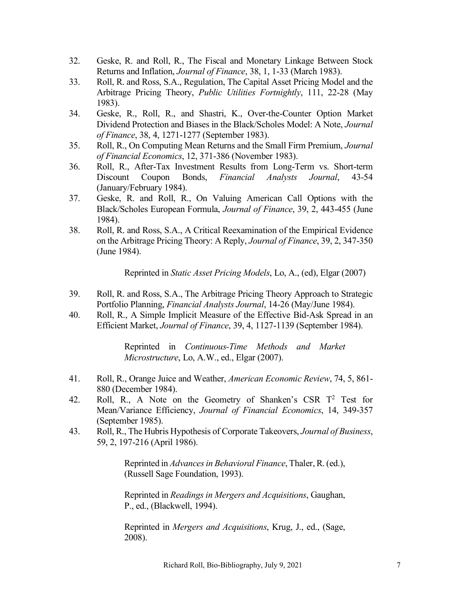- 32. Geske, R. and Roll, R., The Fiscal and Monetary Linkage Between Stock Returns and Inflation, *Journal of Finance*, 38, 1, 1-33 (March 1983).
- 33. Roll, R. and Ross, S.A., Regulation, The Capital Asset Pricing Model and the Arbitrage Pricing Theory, *Public Utilities Fortnightly*, 111, 22-28 (May 1983).
- 34. Geske, R., Roll, R., and Shastri, K., Over-the-Counter Option Market Dividend Protection and Biases in the Black/Scholes Model: A Note, *Journal of Finance*, 38, 4, 1271-1277 (September 1983).
- 35. Roll, R., On Computing Mean Returns and the Small Firm Premium, *Journal of Financial Economics*, 12, 371-386 (November 1983).
- 36. Roll, R., After-Tax Investment Results from Long-Term vs. Short-term Discount Coupon Bonds, *Financial Analysts Journal*, 43-54 (January/February 1984).
- 37. Geske, R. and Roll, R., On Valuing American Call Options with the Black/Scholes European Formula, *Journal of Finance*, 39, 2, 443-455 (June 1984).
- 38. Roll, R. and Ross, S.A., A Critical Reexamination of the Empirical Evidence on the Arbitrage Pricing Theory: A Reply, *Journal of Finance*, 39, 2, 347-350 (June 1984).

Reprinted in *Static Asset Pricing Models*, Lo, A., (ed), Elgar (2007)

- 39. Roll, R. and Ross, S.A., The Arbitrage Pricing Theory Approach to Strategic Portfolio Planning, *Financial Analysts Journal*, 14-26 (May/June 1984).
- 40. Roll, R., A Simple Implicit Measure of the Effective Bid-Ask Spread in an Efficient Market, *Journal of Finance*, 39, 4, 1127-1139 (September 1984).

Reprinted in *Continuous-Time Methods and Market Microstructure*, Lo, A.W., ed., Elgar (2007).

- 41. Roll, R., Orange Juice and Weather, *American Economic Review*, 74, 5, 861- 880 (December 1984).
- 42. Roll, R., A Note on the Geometry of Shanken's CSR  $T^2$  Test for Mean/Variance Efficiency, *Journal of Financial Economics*, 14, 349-357 (September 1985).
- 43. Roll, R., The Hubris Hypothesis of Corporate Takeovers, *Journal of Business*, 59, 2, 197-216 (April 1986).

Reprinted in *Advances in Behavioral Finance*, Thaler, R. (ed.), (Russell Sage Foundation, 1993).

Reprinted in *Readings in Mergers and Acquisitions*, Gaughan, P., ed., (Blackwell, 1994).

Reprinted in *Mergers and Acquisitions*, Krug, J., ed., (Sage, 2008).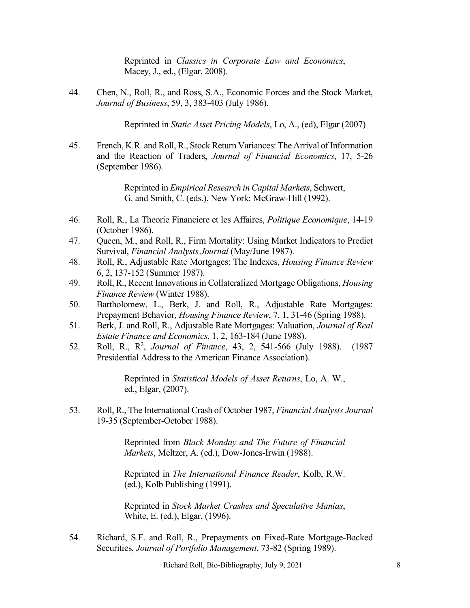Reprinted in *Classics in Corporate Law and Economics*, Macey, J., ed., (Elgar, 2008).

44. Chen, N., Roll, R., and Ross, S.A., Economic Forces and the Stock Market, *Journal of Business*, 59, 3, 383-403 (July 1986).

Reprinted in *Static Asset Pricing Models*, Lo, A., (ed), Elgar (2007)

45. French, K.R. and Roll, R., Stock Return Variances: The Arrival of Information and the Reaction of Traders, *Journal of Financial Economics*, 17, 5-26 (September 1986).

> Reprinted in *Empirical Research in Capital Markets*, Schwert, G. and Smith, C. (eds.), New York: McGraw-Hill (1992).

- 46. Roll, R., La Theorie Financiere et les Affaires, *Politique Economique*, 14-19 (October 1986).
- 47. Queen, M., and Roll, R., Firm Mortality: Using Market Indicators to Predict Survival, *Financial Analysts Journal* (May/June 1987).
- 48. Roll, R., Adjustable Rate Mortgages: The Indexes, *Housing Finance Review* 6, 2, 137-152 (Summer 1987).
- 49. Roll, R., Recent Innovations in Collateralized Mortgage Obligations, *Housing Finance Review* (Winter 1988).
- 50. Bartholomew, L., Berk, J. and Roll, R., Adjustable Rate Mortgages: Prepayment Behavior, *Housing Finance Review*, 7, 1, 31-46 (Spring 1988).
- 51. Berk, J. and Roll, R., Adjustable Rate Mortgages: Valuation, *Journal of Real Estate Finance and Economics,* 1, 2, 163-184 (June 1988).
- 52. Roll, R., R<sup>2</sup>, *Journal of Finance*, 43, 2, 541-566 (July 1988). (1987 Presidential Address to the American Finance Association).

Reprinted in *Statistical Models of Asset Returns*, Lo, A. W., ed., Elgar, (2007).

53. Roll, R., The International Crash of October 1987, *Financial Analysts Journal* 19-35 (September-October 1988).

> Reprinted from *Black Monday and The Future of Financial Markets*, Meltzer, A. (ed.), Dow-Jones-Irwin (1988).

> Reprinted in *The International Finance Reader*, Kolb, R.W. (ed.), Kolb Publishing (1991).

> Reprinted in *Stock Market Crashes and Speculative Manias*, White, E. (ed.), Elgar, (1996).

54. Richard, S.F. and Roll, R., Prepayments on Fixed-Rate Mortgage-Backed Securities, *Journal of Portfolio Management*, 73-82 (Spring 1989).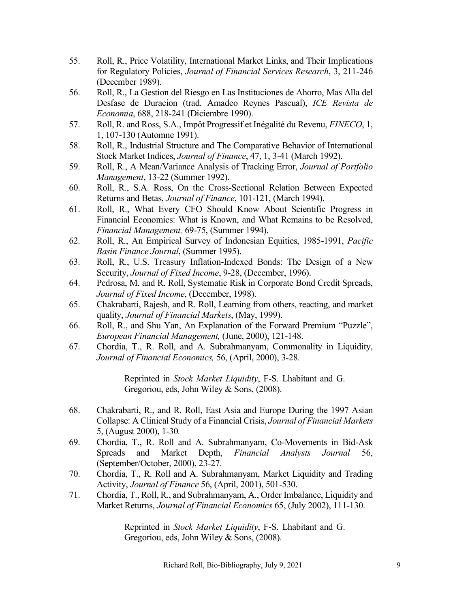- 55. Roll, R., Price Volatility, International Market Links, and Their Implications for Regulatory Policies, *Journal of Financial Services Research*, 3, 211-246 (December 1989).
- 56. Roll, R., La Gestion del Riesgo en Las Instituciones de Ahorro, Mas Alla del Desfase de Duracion (trad. Amadeo Reynes Pascual), *ICE Revista de Economia*, 688, 218-241 (Diciembre 1990).
- 57. Roll, R. and Ross, S.A., Impôt Progressif et Inégalité du Revenu, *FINECO*, 1, 1, 107-130 (Automne 1991).
- 58. Roll, R., Industrial Structure and The Comparative Behavior of International Stock Market Indices, *Journal of Finance*, 47, 1, 3-41 (March 1992).
- 59. Roll, R., A Mean/Variance Analysis of Tracking Error, *Journal of Portfolio Management*, 13-22 (Summer 1992).
- 60. Roll, R., S.A. Ross, On the Cross-Sectional Relation Between Expected Returns and Betas, *Journal of Finance*, 101-121, (March 1994).
- 61. Roll, R., What Every CFO Should Know About Scientific Progress in Financial Economics: What is Known, and What Remains to be Resolved, *Financial Management,* 69-75, (Summer 1994).
- 62. Roll, R., An Empirical Survey of Indonesian Equities, 1985-1991, *Pacific Basin Finance Journal*, (Summer 1995).
- 63. Roll, R., U.S. Treasury Inflation-Indexed Bonds: The Design of a New Security, *Journal of Fixed Income*, 9-28, (December, 1996).
- 64. Pedrosa, M. and R. Roll, Systematic Risk in Corporate Bond Credit Spreads, *Journal of Fixed Income*, (December, 1998).
- 65. Chakrabarti, Rajesh, and R. Roll, Learning from others, reacting, and market quality, *Journal of Financial Markets*, (May, 1999).
- 66. Roll, R., and Shu Yan, An Explanation of the Forward Premium "Puzzle", *European Financial Management,* (June, 2000), 121-148.
- 67. Chordia, T., R. Roll, and A. Subrahmanyam, Commonality in Liquidity, *Journal of Financial Economics,* 56, (April, 2000), 3-28.

Reprinted in *Stock Market Liquidity*, F-S. Lhabitant and G. Gregoriou, eds, John Wiley & Sons, (2008).

- 68. Chakrabarti, R., and R. Roll, East Asia and Europe During the 1997 Asian Collapse: A Clinical Study of a Financial Crisis, *Journal of Financial Markets* 5, (August 2000), 1-30*.*
- 69. Chordia, T., R. Roll and A. Subrahmanyam, Co-Movements in Bid-Ask Spreads and Market Depth, *Financial Analysts Journal* 56, (September/October, 2000), 23-27.
- 70. Chordia, T., R. Roll and A. Subrahmanyam, Market Liquidity and Trading Activity, *Journal of Finance* 56, (April, 2001), 501-530.
- 71. Chordia, T., Roll, R., and Subrahmanyam, A., Order Imbalance, Liquidity and Market Returns, *Journal of Financial Economics* 65, (July 2002), 111-130.

Reprinted in *Stock Market Liquidity*, F-S. Lhabitant and G. Gregoriou, eds, John Wiley & Sons, (2008).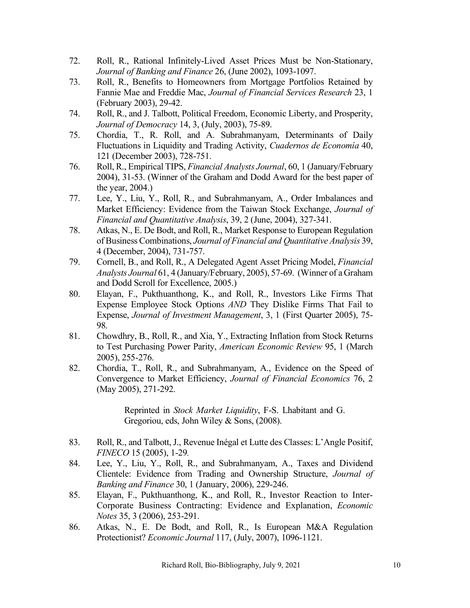- 72. Roll, R., Rational Infinitely-Lived Asset Prices Must be Non-Stationary, *Journal of Banking and Finance* 26, (June 2002), 1093-1097.
- 73. Roll, R., Benefits to Homeowners from Mortgage Portfolios Retained by Fannie Mae and Freddie Mac, *Journal of Financial Services Research* 23, 1 (February 2003), 29-42.
- 74. Roll, R., and J. Talbott, Political Freedom, Economic Liberty, and Prosperity, *Journal of Democracy* 14, 3, (July, 2003), 75-89.
- 75. Chordia, T., R. Roll, and A. Subrahmanyam, Determinants of Daily Fluctuations in Liquidity and Trading Activity, *Cuadernos de Economía* 40, 121 (December 2003), 728-751.
- 76. Roll, R., Empirical TIPS, *Financial Analysts Journal*, 60, 1 (January/February 2004), 31-53. (Winner of the Graham and Dodd Award for the best paper of the year, 2004.)
- 77. Lee, Y., Liu, Y., Roll, R., and Subrahmanyam, A., Order Imbalances and Market Efficiency: Evidence from the Taiwan Stock Exchange, *Journal of Financial and Quantitative Analysis*, 39, 2 (June, 2004), 327-341.
- 78. Atkas, N., E. De Bodt, and Roll, R., Market Response to European Regulation of Business Combinations, *Journal of Financial and Quantitative Analysis* 39, 4 (December, 2004), 731-757.
- 79. Cornell, B., and Roll, R., A Delegated Agent Asset Pricing Model, *Financial Analysts Journal* 61, 4 (January/February, 2005), 57-69. (Winner of a Graham and Dodd Scroll for Excellence, 2005.)
- 80. Elayan, F., Pukthuanthong, K., and Roll, R., Investors Like Firms That Expense Employee Stock Options *AND* They Dislike Firms That Fail to Expense, *Journal of Investment Management*, 3, 1 (First Quarter 2005), 75- 98.
- 81. Chowdhry, B., Roll, R., and Xia, Y., Extracting Inflation from Stock Returns to Test Purchasing Power Parity, *American Economic Review* 95, 1 (March 2005), 255-276.
- 82. Chordia, T., Roll, R., and Subrahmanyam, A., Evidence on the Speed of Convergence to Market Efficiency, *Journal of Financial Economics* 76, 2 (May 2005), 271-292.

Reprinted in *Stock Market Liquidity*, F-S. Lhabitant and G. Gregoriou, eds, John Wiley & Sons, (2008).

- 83. Roll, R., and Talbott, J., Revenue Inégal et Lutte des Classes: L'Angle Positif, *FINECO* 15 (2005), 1-29*.*
- 84. Lee, Y., Liu, Y., Roll, R., and Subrahmanyam, A., Taxes and Dividend Clientele: Evidence from Trading and Ownership Structure, *Journal of Banking and Finance* 30, 1 (January, 2006), 229-246.
- 85. Elayan, F., Pukthuanthong, K., and Roll, R., Investor Reaction to Inter-Corporate Business Contracting: Evidence and Explanation, *Economic Notes* 35, 3 (2006), 253-291.
- 86. Atkas, N., E. De Bodt, and Roll, R., Is European M&A Regulation Protectionist? *Economic Journal* 117, (July, 2007), 1096-1121.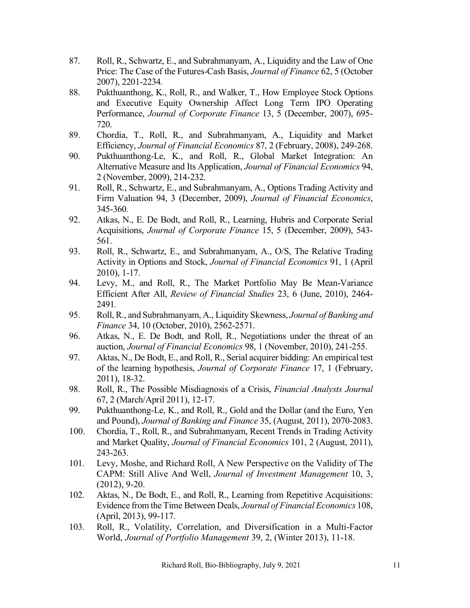- 87. Roll, R., Schwartz, E., and Subrahmanyam, A., Liquidity and the Law of One Price: The Case of the Futures-Cash Basis, *Journal of Finance* 62, 5 (October 2007), 2201-2234*.*
- 88. Pukthuanthong, K., Roll, R., and Walker, T., How Employee Stock Options and Executive Equity Ownership Affect Long Term IPO Operating Performance, *Journal of Corporate Finance* 13, 5 (December, 2007), 695- 720.
- 89. Chordia, T., Roll, R., and Subrahmanyam, A., Liquidity and Market Efficiency, *Journal of Financial Economics* 87, 2 (February, 2008), 249-268.
- 90. Pukthuanthong-Le, K., and Roll, R., Global Market Integration: An Alternative Measure and Its Application, *Journal of Financial Economics* 94, 2 (November, 2009), 214-232.
- 91. Roll, R., Schwartz, E., and Subrahmanyam, A., Options Trading Activity and Firm Valuation 94, 3 (December, 2009), *Journal of Financial Economics*, 345-360*.*
- 92. Atkas, N., E. De Bodt, and Roll, R., Learning, Hubris and Corporate Serial Acquisitions, *Journal of Corporate Finance* 15, 5 (December, 2009), 543- 561.
- 93. Roll, R., Schwartz, E., and Subrahmanyam, A., O/S, The Relative Trading Activity in Options and Stock, *Journal of Financial Economics* 91, 1 (April 2010), 1-17.
- 94. Levy, M., and Roll, R., The Market Portfolio May Be Mean-Variance Efficient After All, *Review of Financial Studies* 23, 6 (June, 2010), 2464- 2491*.*
- 95. Roll, R., and Subrahmanyam, A., Liquidity Skewness, *Journal of Banking and Finance* 34, 10 (October, 2010), 2562-2571.
- 96. Atkas, N., E. De Bodt, and Roll, R., Negotiations under the threat of an auction, *Journal of Financial Economics* 98, 1 (November, 2010), 241-255.
- 97. Aktas, N., De Bodt, E., and Roll, R., Serial acquirer bidding: An empirical test of the learning hypothesis, *Journal of Corporate Finance* 17, 1 (February, 2011), 18-32.
- 98. Roll, R., The Possible Misdiagnosis of a Crisis, *Financial Analysts Journal* 67, 2 (March/April 2011), 12-17.
- 99. Pukthuanthong-Le, K., and Roll, R., Gold and the Dollar (and the Euro, Yen and Pound), *Journal of Banking and Finance* 35, (August, 2011), 2070-2083.
- 100. Chordia, T., Roll, R., and Subrahmanyam, Recent Trends in Trading Activity and Market Quality, *Journal of Financial Economics* 101, 2 (August, 2011), 243-263.
- 101. Levy, Moshe, and Richard Roll, A New Perspective on the Validity of The CAPM: Still Alive And Well, *Journal of Investment Management* 10, 3, (2012), 9-20.
- 102. Aktas, N., De Bodt, E., and Roll, R., Learning from Repetitive Acquisitions: Evidence from the Time Between Deals, *Journal of Financial Economics* 108, (April, 2013), 99-117.
- 103. Roll, R., Volatility, Correlation, and Diversification in a Multi-Factor World, *Journal of Portfolio Management* 39, 2, (Winter 2013), 11-18.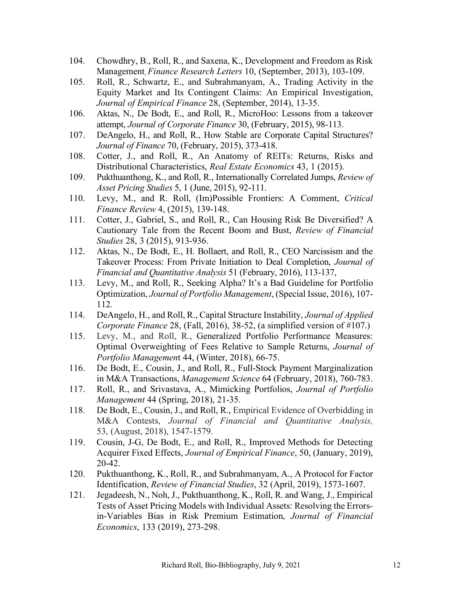- 104. Chowdhry, B., Roll, R., and Saxena, K., Development and Freedom as Risk Management, *Finance Research Letters* 10, (September, 2013), 103-109.
- 105. Roll, R., Schwartz, E., and Subrahmanyam, A., Trading Activity in the Equity Market and Its Contingent Claims: An Empirical Investigation, *Journal of Empirical Finance* 28, (September, 2014), 13-35.
- 106. Aktas, N., De Bodt, E., and Roll, R., MicroHoo: Lessons from a takeover attempt, *Journal of Corporate Finance* 30, (February, 2015), 98-113.
- 107. DeAngelo, H., and Roll, R., How Stable are Corporate Capital Structures? *Journal of Finance* 70, (February, 2015), 373-418.
- 108. Cotter, J., and Roll, R., An Anatomy of REITs: Returns, Risks and Distributional Characteristics, *Real Estate Economics* 43, 1 (2015).
- 109. Pukthuanthong, K., and Roll, R., Internationally Correlated Jumps, *Review of Asset Pricing Studies* 5, 1 (June, 2015), 92-111.
- 110. Levy, M., and R. Roll, (Im)Possible Frontiers: A Comment, *Critical Finance Review* 4, (2015), 139-148.
- 111. Cotter, J., Gabriel, S., and Roll, R., Can Housing Risk Be Diversified? A Cautionary Tale from the Recent Boom and Bust, *Review of Financial Studies* 28, 3 (2015), 913-936.
- 112. Aktas, N., De Bodt, E., H. Bollaert, and Roll, R., CEO Narcissism and the Takeover Process: From Private Initiation to Deal Completion, *Journal of Financial and Quantitative Analysis* 51 (February, 2016), 113-137,
- 113. Levy, M., and Roll, R., Seeking Alpha? It's a Bad Guideline for Portfolio Optimization, *Journal of Portfolio Management*, (Special Issue, 2016), 107- 112.
- 114. DeAngelo, H., and Roll, R., Capital Structure Instability, *Journal of Applied Corporate Finance* 28, (Fall, 2016), 38-52, (a simplified version of #107.)
- 115. Levy, M., and Roll, R., Generalized Portfolio Performance Measures: Optimal Overweighting of Fees Relative to Sample Returns, *Journal of Portfolio Managemen*t 44, (Winter, 2018), 66-75.
- 116. De Bodt, E., Cousin, J., and Roll, R., Full-Stock Payment Marginalization in M&A Transactions, *Management Science* 64 (February, 2018), 760-783.
- 117. Roll, R., and Srivastava, A., Mimicking Portfolios, *Journal of Portfolio Management* 44 (Spring, 2018), 21-35.
- 118. De Bodt, E., Cousin, J., and Roll, R., Empirical Evidence of Overbidding in M&A Contests, *Journal of Financial and Quantitative Analysis,* 53, (August, 2018), 1547-1579.
- 119. Cousin, J-G, De Bodt, E., and Roll, R., Improved Methods for Detecting Acquirer Fixed Effects, *Journal of Empirical Finance*, 50, (January, 2019), 20-42.
- 120. Pukthuanthong, K., Roll, R., and Subrahmanyam, A., A Protocol for Factor Identification, *Review of Financial Studies*, 32 (April, 2019), 1573-1607.
- 121. Jegadeesh, N., Noh, J., Pukthuanthong, K., Roll, R. and Wang, J., Empirical Tests of Asset Pricing Models with Individual Assets: Resolving the Errorsin-Variables Bias in Risk Premium Estimation, *Journal of Financial Economics*, 133 (2019), 273-298.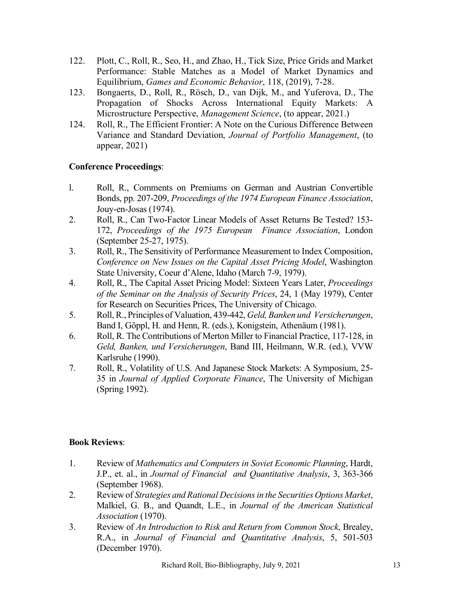- 122. Plott, C., Roll, R., Seo, H., and Zhao, H., Tick Size, Price Grids and Market Performance: Stable Matches as a Model of Market Dynamics and Equilibrium, *Games and Economic Behavior*, 118, (2019), 7-28.
- 123. Bongaerts, D., Roll, R., Rösch, D., van Dijk, M., and Yuferova, D., The Propagation of Shocks Across International Equity Markets: A Microstructure Perspective, *Management Science*, (to appear, 2021.)
- 124. Roll, R., The Efficient Frontier: A Note on the Curious Difference Between Variance and Standard Deviation, *Journal of Portfolio Management*, (to appear, 2021)

# **Conference Proceedings**:

- l. Roll, R., Comments on Premiums on German and Austrian Convertible Bonds, pp. 207-209, *Proceedings of the 1974 European Finance Association*, Jouy-en-Josas (1974).
- 2. Roll, R., Can Two-Factor Linear Models of Asset Returns Be Tested? 153- 172, *Proceedings of the 1975 European Finance Association*, London (September 25-27, 1975).
- 3. Roll, R., The Sensitivity of Performance Measurement to Index Composition, *Conference on New Issues on the Capital Asset Pricing Model*, Washington State University, Coeur d'Alene, Idaho (March 7-9, 1979).
- 4. Roll, R., The Capital Asset Pricing Model: Sixteen Years Later, *Proceedings of the Seminar on the Analysis of Security Prices*, 24, 1 (May 1979), Center for Research on Securities Prices, The University of Chicago.
- 5. Roll, R., Principles of Valuation, 439-442, *Geld, Banken und Versicherungen*, Band I, Göppl, H. and Henn, R. (eds.), Konigstein, Athenäum (1981).
- 6. Roll, R. The Contributions of Merton Miller to Financial Practice, 117-128, in *Geld, Banken, und Versicherungen*, Band III, Heilmann, W.R. (ed.), VVW Karlsruhe (1990).
- 7. Roll, R., Volatility of U.S. And Japanese Stock Markets: A Symposium, 25- 35 in *Journal of Applied Corporate Finance*, The University of Michigan (Spring 1992).

# **Book Reviews**:

- 1. Review of *Mathematics and Computers in Soviet Economic Planning*, Hardt, J.P., et. al., in *Journal of Financial and Quantitative Analysis*, 3, 363-366 (September 1968).
- 2. Review of *Strategies and Rational Decisions in the Securities Options Market*, Malkiel, G. B., and Quandt, L.E., in *Journal of the American Statistical Association* (1970).
- 3. Review of *An Introduction to Risk and Return from Common Stock*, Brealey, R.A., in *Journal of Financial and Quantitative Analysis*, 5, 501-503 (December 1970).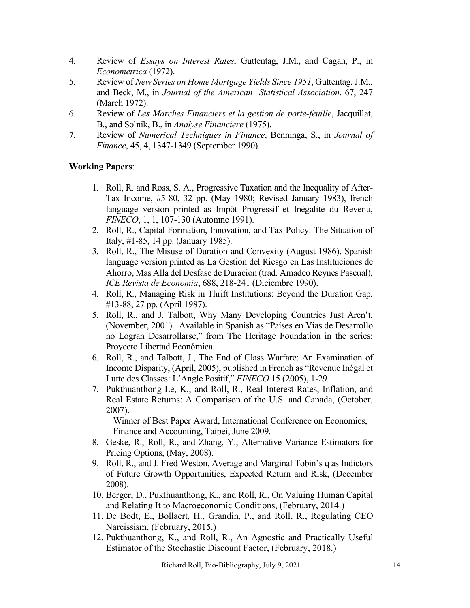- 4. Review of *Essays on Interest Rates*, Guttentag, J.M., and Cagan, P., in *Econometrica* (1972).
- 5. Review of *New Series on Home Mortgage Yields Since 1951*, Guttentag, J.M., and Beck, M., in *Journal of the American Statistical Association*, 67, 247 (March 1972).
- 6. Review of *Les Marches Financiers et la gestion de porte-feuille*, Jacquillat, B., and Solnik, B., in *Analyse Financiere* (1975).
- 7. Review of *Numerical Techniques in Finance*, Benninga, S., in *Journal of Finance*, 45, 4, 1347-1349 (September 1990).

# **Working Papers**:

- 1. Roll, R. and Ross, S. A., Progressive Taxation and the Inequality of After-Tax Income, #5-80, 32 pp. (May 1980; Revised January 1983), french language version printed as Impôt Progressif et Inégalité du Revenu, *FINECO*, 1, 1, 107-130 (Automne 1991).
- 2. Roll, R., Capital Formation, Innovation, and Tax Policy: The Situation of Italy, #1-85, 14 pp. (January 1985).
- 3. Roll, R., The Misuse of Duration and Convexity (August 1986), Spanish language version printed as La Gestion del Riesgo en Las Instituciones de Ahorro, Mas Alla del Desfase de Duracion (trad. Amadeo Reynes Pascual), *ICE Revista de Economia*, 688, 218-241 (Diciembre 1990).
- 4. Roll, R., Managing Risk in Thrift Institutions: Beyond the Duration Gap, #13-88, 27 pp. (April 1987).
- 5. Roll, R., and J. Talbott, Why Many Developing Countries Just Aren't, (November, 2001). Available in Spanish as "Países en Vías de Desarrollo no Logran Desarrollarse," from The Heritage Foundation in the series: Proyecto Libertad Económica.
- 6. Roll, R., and Talbott, J., The End of Class Warfare: An Examination of Income Disparity, (April, 2005), published in French as "Revenue Inégal et Lutte des Classes: L'Angle Positif," *FINECO* 15 (2005), 1-29*.*
- 7. Pukthuanthong-Le, K., and Roll, R., Real Interest Rates, Inflation, and Real Estate Returns: A Comparison of the U.S. and Canada, (October, 2007).

Winner of Best Paper Award, International Conference on Economics, Finance and Accounting, Taipei, June 2009.

- 8. Geske, R., Roll, R., and Zhang, Y., Alternative Variance Estimators for Pricing Options, (May, 2008).
- 9. Roll, R., and J. Fred Weston, Average and Marginal Tobin's q as Indictors of Future Growth Opportunities, Expected Return and Risk, (December 2008).
- 10. Berger, D., Pukthuanthong, K., and Roll, R., On Valuing Human Capital and Relating It to Macroeconomic Conditions, (February, 2014.)
- 11. De Bodt, E., Bollaert, H., Grandin, P., and Roll, R., Regulating CEO Narcissism, (February, 2015.)
- 12. Pukthuanthong, K., and Roll, R., An Agnostic and Practically Useful Estimator of the Stochastic Discount Factor, (February, 2018.)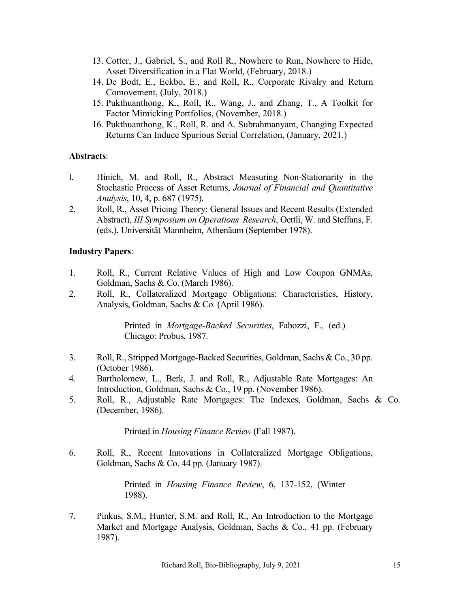- 13. Cotter, J., Gabriel, S., and Roll R., Nowhere to Run, Nowhere to Hide, Asset Diversification in a Flat World, (February, 2018.)
- 14. De Bodt, E., Eckbo, E., and Roll, R., Corporate Rivalry and Return Comovement, (July, 2018.)
- 15. Pukthuanthong, K., Roll, R., Wang, J., and Zhang, T., A Toolkit for Factor Mimicking Portfolios, (November, 2018.)
- 16. Pukthuanthong, K., Roll, R. and A. Subrahmanyam, Changing Expected Returns Can Induce Spurious Serial Correlation, (January, 2021.)

### **Abstracts**:

- l. Hinich, M. and Roll, R., Abstract Measuring Non-Stationarity in the Stochastic Process of Asset Returns, *Journal of Financial and Quantitative Analysis*, 10, 4, p. 687 (1975).
- 2. Roll, R., Asset Pricing Theory: General Issues and Recent Results (Extended Abstract), *III Symposium on Operations Research*, Oettli, W. and Steffans, F. (eds.), Universität Mannheim, Athenäum (September 1978).

# **Industry Papers**:

- 1. Roll, R., Current Relative Values of High and Low Coupon GNMAs, Goldman, Sachs & Co. (March 1986).
- 2. Roll, R., Collateralized Mortgage Obligations: Characteristics, History, Analysis, Goldman, Sachs & Co. (April 1986).

Printed in *Mortgage-Backed Securities*, Fabozzi, F., (ed.) Chicago: Probus, 1987.

- 3. Roll, R., Stripped Mortgage-Backed Securities, Goldman, Sachs & Co., 30 pp. (October 1986).
- 4. Bartholomew, L., Berk, J. and Roll, R., Adjustable Rate Mortgages: An Introduction, Goldman, Sachs & Co., 19 pp. (November 1986).
- 5. Roll, R., Adjustable Rate Mortgages: The Indexes, Goldman, Sachs & Co. (December, 1986).

Printed in *Housing Finance Review* (Fall 1987).

6. Roll, R., Recent Innovations in Collateralized Mortgage Obligations, Goldman, Sachs & Co. 44 pp. (January 1987).

> Printed in *Housing Finance Review*, 6, 137-152, (Winter 1988).

7. Pinkus, S.M., Hunter, S.M. and Roll, R., An Introduction to the Mortgage Market and Mortgage Analysis, Goldman, Sachs & Co., 41 pp. (February 1987).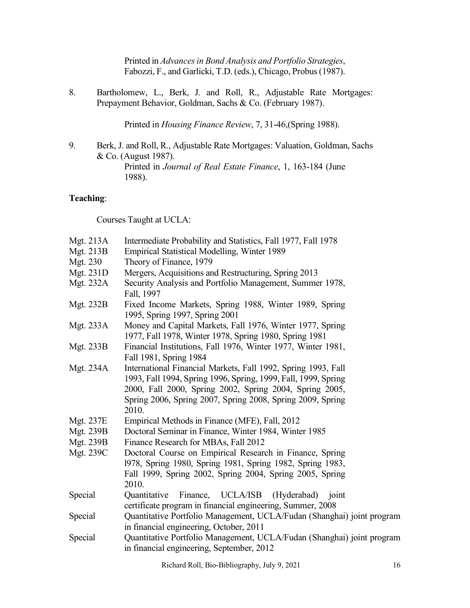Printed in *Advances in Bond Analysis and Portfolio Strategies*, Fabozzi, F., and Garlicki, T.D. (eds.), Chicago, Probus (1987).

8. Bartholomew, L., Berk, J. and Roll, R., Adjustable Rate Mortgages: Prepayment Behavior, Goldman, Sachs & Co. (February 1987).

Printed in *Housing Finance Review*, 7, 31-46,(Spring 1988).

9. Berk, J. and Roll, R., Adjustable Rate Mortgages: Valuation, Goldman, Sachs & Co. (August 1987).

> Printed in *Journal of Real Estate Finance*, 1, 163-184 (June 1988).

### **Teaching**:

Courses Taught at UCLA:

| Mgt. 213A        | Intermediate Probability and Statistics, Fall 1977, Fall 1978                                                                                                                                                                                                     |  |  |  |  |
|------------------|-------------------------------------------------------------------------------------------------------------------------------------------------------------------------------------------------------------------------------------------------------------------|--|--|--|--|
| <b>Mgt. 213B</b> | Empirical Statistical Modelling, Winter 1989                                                                                                                                                                                                                      |  |  |  |  |
| Mgt. 230         | Theory of Finance, 1979                                                                                                                                                                                                                                           |  |  |  |  |
| Mgt. 231D        | Mergers, Acquisitions and Restructuring, Spring 2013                                                                                                                                                                                                              |  |  |  |  |
| Mgt. 232A        | Security Analysis and Portfolio Management, Summer 1978,<br>Fall, 1997                                                                                                                                                                                            |  |  |  |  |
| Mgt. 232B        | Fixed Income Markets, Spring 1988, Winter 1989, Spring<br>1995, Spring 1997, Spring 2001                                                                                                                                                                          |  |  |  |  |
| Mgt. 233A        | Money and Capital Markets, Fall 1976, Winter 1977, Spring<br>1977, Fall 1978, Winter 1978, Spring 1980, Spring 1981                                                                                                                                               |  |  |  |  |
| Mgt. 233B        | Financial Institutions, Fall 1976, Winter 1977, Winter 1981,<br>Fall 1981, Spring 1984                                                                                                                                                                            |  |  |  |  |
| Mgt. 234A        | International Financial Markets, Fall 1992, Spring 1993, Fall<br>1993, Fall 1994, Spring 1996, Spring, 1999, Fall, 1999, Spring<br>2000, Fall 2000, Spring 2002, Spring 2004, Spring 2005,<br>Spring 2006, Spring 2007, Spring 2008, Spring 2009, Spring<br>2010. |  |  |  |  |
| Mgt. 237E        | Empirical Methods in Finance (MFE), Fall, 2012                                                                                                                                                                                                                    |  |  |  |  |
| <b>Mgt. 239B</b> | Doctoral Seminar in Finance, Winter 1984, Winter 1985                                                                                                                                                                                                             |  |  |  |  |
| Mgt. 239B        | Finance Research for MBAs, Fall 2012                                                                                                                                                                                                                              |  |  |  |  |
| Mgt. 239C        | Doctoral Course on Empirical Research in Finance, Spring<br>1978, Spring 1980, Spring 1981, Spring 1982, Spring 1983,<br>Fall 1999, Spring 2002, Spring 2004, Spring 2005, Spring<br>2010.                                                                        |  |  |  |  |
| Special          | Finance, UCLA/ISB (Hyderabad) joint<br>Quantitative<br>certificate program in financial engineering, Summer, 2008                                                                                                                                                 |  |  |  |  |
| Special          | Quantitative Portfolio Management, UCLA/Fudan (Shanghai) joint program<br>in financial engineering, October, 2011                                                                                                                                                 |  |  |  |  |
| Special          | Quantitative Portfolio Management, UCLA/Fudan (Shanghai) joint program<br>in financial engineering, September, 2012                                                                                                                                               |  |  |  |  |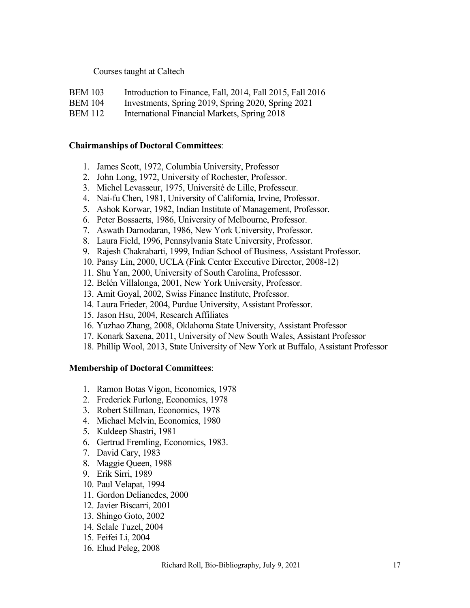### Courses taught at Caltech

- BEM 103 Introduction to Finance, Fall, 2014, Fall 2015, Fall 2016
- BEM 104 Investments, Spring 2019, Spring 2020, Spring 2021
- BEM 112 International Financial Markets, Spring 2018

#### **Chairmanships of Doctoral Committees**:

- 1. James Scott, 1972, Columbia University, Professor
- 2. John Long, 1972, University of Rochester, Professor.
- 3. Michel Levasseur, 1975, Université de Lille, Professeur.
- 4. Nai-fu Chen, 1981, University of California, Irvine, Professor.
- 5. Ashok Korwar, 1982, Indian Institute of Management, Professor.
- 6. Peter Bossaerts, 1986, University of Melbourne, Professor.
- 7. Aswath Damodaran, 1986, New York University, Professor.
- 8. Laura Field, 1996, Pennsylvania State University, Professor.
- 9. Rajesh Chakrabarti, 1999, Indian School of Business, Assistant Professor.
- 10. Pansy Lin, 2000, UCLA (Fink Center Executive Director, 2008-12)
- 11. Shu Yan, 2000, University of South Carolina, Professsor.
- 12. Belén Villalonga, 2001, New York University, Professor.
- 13. Amit Goyal, 2002, Swiss Finance Institute, Professor.
- 14. Laura Frieder, 2004, Purdue University, Assistant Professor.
- 15. Jason Hsu, 2004, Research Affiliates
- 16. Yuzhao Zhang, 2008, Oklahoma State University, Assistant Professor
- 17. Konark Saxena, 2011, University of New South Wales, Assistant Professor
- 18. Phillip Wool, 2013, State University of New York at Buffalo, Assistant Professor

### **Membership of Doctoral Committees**:

- 1. Ramon Botas Vigon, Economics, 1978
- 2. Frederick Furlong, Economics, 1978
- 3. Robert Stillman, Economics, 1978
- 4. Michael Melvin, Economics, 1980
- 5. Kuldeep Shastri, 1981
- 6. Gertrud Fremling, Economics, 1983.
- 7. David Cary, 1983
- 8. Maggie Queen, 1988
- 9. Erik Sirri, 1989
- 10. Paul Velapat, 1994
- 11. Gordon Delianedes, 2000
- 12. Javier Biscarri, 2001
- 13. Shingo Goto, 2002
- 14. Selale Tuzel, 2004
- 15. Feifei Li, 2004
- 16. Ehud Peleg, 2008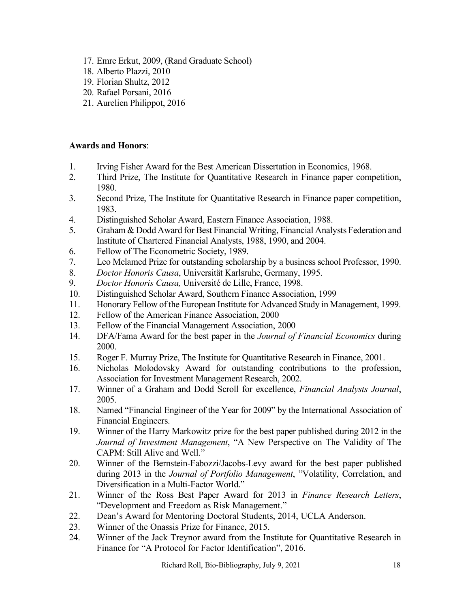- 17. Emre Erkut, 2009, (Rand Graduate School)
- 18. Alberto Plazzi, 2010
- 19. Florian Shultz, 2012
- 20. Rafael Porsani, 2016
- 21. Aurelien Philippot, 2016

### **Awards and Honors**:

- 1. Irving Fisher Award for the Best American Dissertation in Economics, 1968.
- 2. Third Prize, The Institute for Quantitative Research in Finance paper competition, 1980.
- 3. Second Prize, The Institute for Quantitative Research in Finance paper competition, 1983.
- 4. Distinguished Scholar Award, Eastern Finance Association, 1988.
- 5. Graham & Dodd Award for Best Financial Writing, Financial Analysts Federation and Institute of Chartered Financial Analysts, 1988, 1990, and 2004.
- 6. Fellow of The Econometric Society, 1989.
- 7. Leo Melamed Prize for outstanding scholarship by a business school Professor, 1990.
- 8. *Doctor Honoris Causa*, Universität Karlsruhe, Germany, 1995.
- 9. *Doctor Honoris Causa,* Université de Lille, France, 1998.
- 10. Distinguished Scholar Award, Southern Finance Association, 1999
- 11. Honorary Fellow of the European Institute for Advanced Study in Management, 1999.
- 12. Fellow of the American Finance Association, 2000
- 13. Fellow of the Financial Management Association, 2000
- 14. DFA/Fama Award for the best paper in the *Journal of Financial Economics* during 2000.
- 15. Roger F. Murray Prize, The Institute for Quantitative Research in Finance, 2001.
- 16. Nicholas Molodovsky Award for outstanding contributions to the profession, Association for Investment Management Research, 2002.
- 17. Winner of a Graham and Dodd Scroll for excellence, *Financial Analysts Journal*, 2005.
- 18. Named "Financial Engineer of the Year for 2009" by the International Association of Financial Engineers.
- 19. Winner of the Harry Markowitz prize for the best paper published during 2012 in the *Journal of Investment Management*, "A New Perspective on The Validity of The CAPM: Still Alive and Well."
- 20. Winner of the Bernstein-Fabozzi/Jacobs-Levy award for the best paper published during 2013 in the *Journal of Portfolio Management*, "Volatility, Correlation, and Diversification in a Multi-Factor World."
- 21. Winner of the Ross Best Paper Award for 2013 in *Finance Research Letters*, "Development and Freedom as Risk Management."
- 22. Dean's Award for Mentoring Doctoral Students, 2014, UCLA Anderson.
- 23. Winner of the Onassis Prize for Finance, 2015.
- 24. Winner of the Jack Treynor award from the Institute for Quantitative Research in Finance for "A Protocol for Factor Identification", 2016.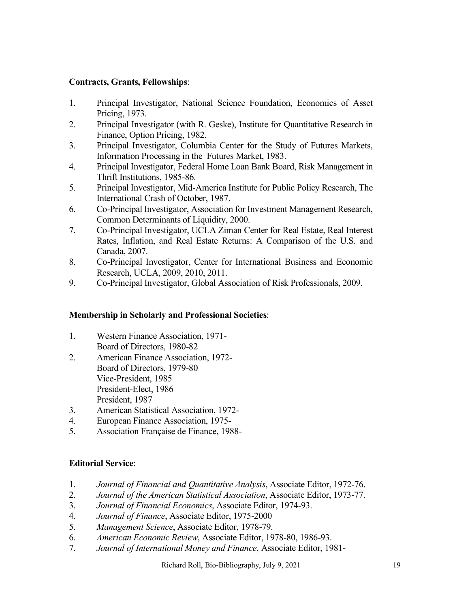# **Contracts, Grants, Fellowships**:

- 1. Principal Investigator, National Science Foundation, Economics of Asset Pricing, 1973.
- 2. Principal Investigator (with R. Geske), Institute for Quantitative Research in Finance, Option Pricing, 1982.
- 3. Principal Investigator, Columbia Center for the Study of Futures Markets, Information Processing in the Futures Market, 1983.
- 4. Principal Investigator, Federal Home Loan Bank Board, Risk Management in Thrift Institutions, 1985-86.
- 5. Principal Investigator, Mid-America Institute for Public Policy Research, The International Crash of October, 1987.
- 6. Co-Principal Investigator, Association for Investment Management Research, Common Determinants of Liquidity, 2000.
- 7. Co-Principal Investigator, UCLA Ziman Center for Real Estate, Real Interest Rates, Inflation, and Real Estate Returns: A Comparison of the U.S. and Canada, 2007.
- 8. Co-Principal Investigator, Center for International Business and Economic Research, UCLA, 2009, 2010, 2011.
- 9. Co-Principal Investigator, Global Association of Risk Professionals, 2009.

# **Membership in Scholarly and Professional Societies**:

- 1. Western Finance Association, 1971- Board of Directors, 1980-82
- 2. American Finance Association, 1972- Board of Directors, 1979-80 Vice-President, 1985 President-Elect, 1986 President, 1987
- 3. American Statistical Association, 1972-
- 4. European Finance Association, 1975-
- 5. Association Française de Finance, 1988-

# **Editorial Service**:

- 1. *Journal of Financial and Quantitative Analysis*, Associate Editor, 1972-76.
- 2. *Journal of the American Statistical Association*, Associate Editor, 1973-77.
- 3. *Journal of Financial Economics*, Associate Editor, 1974-93.
- 4. *Journal of Finance*, Associate Editor, 1975-2000
- 5. *Management Science*, Associate Editor, 1978-79.
- 6. *American Economic Review*, Associate Editor, 1978-80, 1986-93.
- 7. *Journal of International Money and Finance*, Associate Editor, 1981-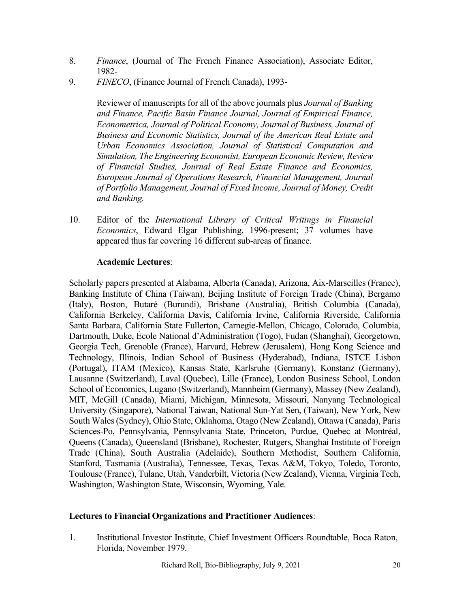- 8. *Finance*, (Journal of The French Finance Association), Associate Editor, 1982-
- 9. *FINECO*, (Finance Journal of French Canada), 1993-

Reviewer of manuscripts for all of the above journals plus *Journal of Banking and Finance, Pacific Basin Finance Journal, Journal of Empirical Finance, Econometrica, Journal of Political Economy, Journal of Business, Journal of Business and Economic Statistics, Journal of the American Real Estate and Urban Economics Association, Journal of Statistical Computation and Simulation, The Engineering Economist, European Economic Review, Review of Financial Studies, Journal of Real Estate Finance and Economics, European Journal of Operations Research, Financial Management, Journal of Portfolio Management, Journal of Fixed Income, Journal of Money, Credit and Banking.*

10. Editor of the *International Library of Critical Writings in Financial Economics*, Edward Elgar Publishing, 1996-present; 37 volumes have appeared thus far covering 16 different sub-areas of finance.

### **Academic Lectures**:

Scholarly papers presented at Alabama, Alberta (Canada), Arizona, Aix-Marseilles (France), Banking Institute of China (Taiwan), Beijing Institute of Foreign Trade (China), Bergamo (Italy), Boston, Butaré (Burundi), Brisbane (Australia), British Columbia (Canada), California Berkeley, California Davis, California Irvine, California Riverside, California Santa Barbara, California State Fullerton, Carnegie-Mellon, Chicago, Colorado, Columbia, Dartmouth, Duke, École National d'Administration (Togo), Fudan (Shanghai), Georgetown, Georgia Tech, Grenoble (France), Harvard, Hebrew (Jerusalem), Hong Kong Science and Technology, Illinois, Indian School of Business (Hyderabad), Indiana, ISTCE Lisbon (Portugal), ITAM (Mexico), Kansas State, Karlsruhe (Germany), Konstanz (Germany), Lausanne (Switzerland), Laval (Quebec), Lille (France), London Business School, London School of Economics, Lugano (Switzerland), Mannheim (Germany), Massey (New Zealand), MIT, McGill (Canada), Miami, Michigan, Minnesota, Missouri, Nanyang Technological University (Singapore), National Taiwan, National Sun-Yat Sen, (Taiwan), New York, New South Wales (Sydney), Ohio State, Oklahoma, Otago (New Zealand), Ottawa (Canada), Paris Sciences-Po, Pennsylvania, Pennsylvania State, Princeton, Purdue, Quebec at Montréal, Queens (Canada), Queensland (Brisbane), Rochester, Rutgers, Shanghai Institute of Foreign Trade (China), South Australia (Adelaide), Southern Methodist, Southern California, Stanford, Tasmania (Australia), Tennessee, Texas, Texas A&M, Tokyo, Toledo, Toronto, Toulouse (France), Tulane, Utah, Vanderbilt, Victoria (New Zealand), Vienna, Virginia Tech, Washington, Washington State, Wisconsin, Wyoming, Yale.

### **Lectures to Financial Organizations and Practitioner Audiences**:

1. Institutional Investor Institute, Chief Investment Officers Roundtable, Boca Raton, Florida, November 1979.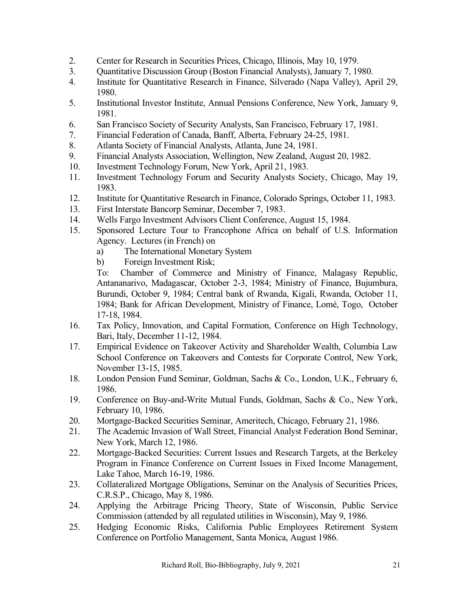- 2. Center for Research in Securities Prices, Chicago, Illinois, May 10, 1979.
- 3. Quantitative Discussion Group (Boston Financial Analysts), January 7, 1980.
- 4. Institute for Quantitative Research in Finance, Silverado (Napa Valley), April 29, 1980.
- 5. Institutional Investor Institute, Annual Pensions Conference, New York, January 9, 1981.
- 6. San Francisco Society of Security Analysts, San Francisco, February 17, 1981.
- 7. Financial Federation of Canada, Banff, Alberta, February 24-25, 1981.
- 8. Atlanta Society of Financial Analysts, Atlanta, June 24, 1981.
- 9. Financial Analysts Association, Wellington, New Zealand, August 20, 1982.
- 10. Investment Technology Forum, New York, April 21, 1983.
- 11. Investment Technology Forum and Security Analysts Society, Chicago, May 19, 1983.
- 12. Institute for Quantitative Research in Finance, Colorado Springs, October 11, 1983.
- 13. First Interstate Bancorp Seminar, December 7, 1983.
- 14. Wells Fargo Investment Advisors Client Conference, August 15, 1984.
- 15. Sponsored Lecture Tour to Francophone Africa on behalf of U.S. Information Agency. Lectures (in French) on
	- a) The International Monetary System
	- b) Foreign Investment Risk;

To: Chamber of Commerce and Ministry of Finance, Malagasy Republic, Antananarivo, Madagascar, October 2-3, 1984; Ministry of Finance, Bujumbura, Burundi, October 9, 1984; Central bank of Rwanda, Kigali, Rwanda, October 11, 1984; Bank for African Development, Ministry of Finance, Lomé, Togo, October 17-18, 1984.

- 16. Tax Policy, Innovation, and Capital Formation, Conference on High Technology, Bari, Italy, December 11-12, 1984.
- 17. Empirical Evidence on Takeover Activity and Shareholder Wealth, Columbia Law School Conference on Takeovers and Contests for Corporate Control, New York, November 13-15, 1985.
- 18. London Pension Fund Seminar, Goldman, Sachs & Co., London, U.K., February 6, 1986.
- 19. Conference on Buy-and-Write Mutual Funds, Goldman, Sachs & Co., New York, February 10, 1986.
- 20. Mortgage-Backed Securities Seminar, Ameritech, Chicago, February 21, 1986.
- 21. The Academic Invasion of Wall Street, Financial Analyst Federation Bond Seminar, New York, March 12, 1986.
- 22. Mortgage-Backed Securities: Current Issues and Research Targets, at the Berkeley Program in Finance Conference on Current Issues in Fixed Income Management, Lake Tahoe, March 16-19, 1986.
- 23. Collateralized Mortgage Obligations, Seminar on the Analysis of Securities Prices, C.R.S.P., Chicago, May 8, 1986.
- 24. Applying the Arbitrage Pricing Theory, State of Wisconsin, Public Service Commission (attended by all regulated utilities in Wisconsin), May 9, 1986.
- 25. Hedging Economic Risks, California Public Employees Retirement System Conference on Portfolio Management, Santa Monica, August 1986.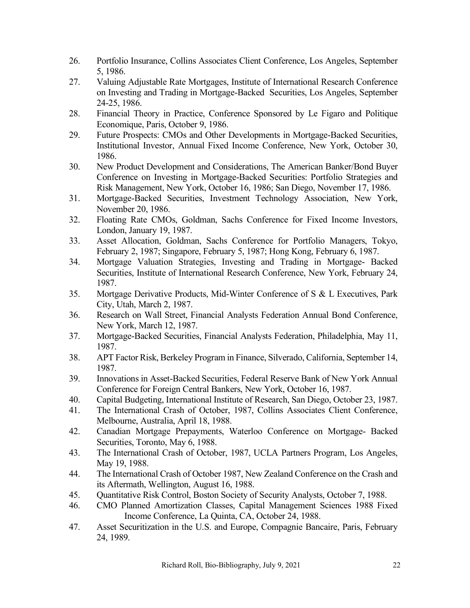- 26. Portfolio Insurance, Collins Associates Client Conference, Los Angeles, September 5, 1986.
- 27. Valuing Adjustable Rate Mortgages, Institute of International Research Conference on Investing and Trading in Mortgage-Backed Securities, Los Angeles, September 24-25, 1986.
- 28. Financial Theory in Practice, Conference Sponsored by Le Figaro and Politique Economique, Paris, October 9, 1986.
- 29. Future Prospects: CMOs and Other Developments in Mortgage-Backed Securities, Institutional Investor, Annual Fixed Income Conference, New York, October 30, 1986.
- 30. New Product Development and Considerations, The American Banker/Bond Buyer Conference on Investing in Mortgage-Backed Securities: Portfolio Strategies and Risk Management, New York, October 16, 1986; San Diego, November 17, 1986.
- 31. Mortgage-Backed Securities, Investment Technology Association, New York, November 20, 1986.
- 32. Floating Rate CMOs, Goldman, Sachs Conference for Fixed Income Investors, London, January 19, 1987.
- 33. Asset Allocation, Goldman, Sachs Conference for Portfolio Managers, Tokyo, February 2, 1987; Singapore, February 5, 1987; Hong Kong, February 6, 1987.
- 34. Mortgage Valuation Strategies, Investing and Trading in Mortgage- Backed Securities, Institute of International Research Conference, New York, February 24, 1987.
- 35. Mortgage Derivative Products, Mid-Winter Conference of S & L Executives, Park City, Utah, March 2, 1987.
- 36. Research on Wall Street, Financial Analysts Federation Annual Bond Conference, New York, March 12, 1987.
- 37. Mortgage-Backed Securities, Financial Analysts Federation, Philadelphia, May 11, 1987.
- 38. APT Factor Risk, Berkeley Program in Finance, Silverado, California, September 14, 1987.
- 39. Innovations in Asset-Backed Securities, Federal Reserve Bank of New York Annual Conference for Foreign Central Bankers, New York, October 16, 1987.
- 40. Capital Budgeting, International Institute of Research, San Diego, October 23, 1987.
- 41. The International Crash of October, 1987, Collins Associates Client Conference, Melbourne, Australia, April 18, 1988.
- 42. Canadian Mortgage Prepayments, Waterloo Conference on Mortgage- Backed Securities, Toronto, May 6, 1988.
- 43. The International Crash of October, 1987, UCLA Partners Program, Los Angeles, May 19, 1988.
- 44. The International Crash of October 1987, New Zealand Conference on the Crash and its Aftermath, Wellington, August 16, 1988.
- 45. Quantitative Risk Control, Boston Society of Security Analysts, October 7, 1988.
- 46. CMO Planned Amortization Classes, Capital Management Sciences 1988 Fixed Income Conference, La Quinta, CA, October 24, 1988.
- 47. Asset Securitization in the U.S. and Europe, Compagnie Bancaire, Paris, February 24, 1989.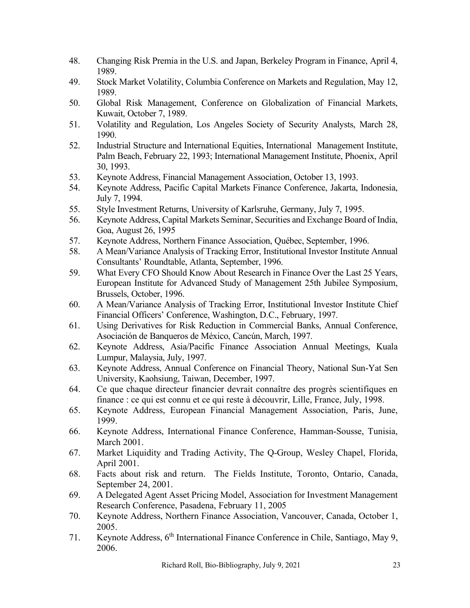- 48. Changing Risk Premia in the U.S. and Japan, Berkeley Program in Finance, April 4, 1989.
- 49. Stock Market Volatility, Columbia Conference on Markets and Regulation, May 12, 1989.
- 50. Global Risk Management, Conference on Globalization of Financial Markets, Kuwait, October 7, 1989.
- 51. Volatility and Regulation, Los Angeles Society of Security Analysts, March 28, 1990.
- 52. Industrial Structure and International Equities, International Management Institute, Palm Beach, February 22, 1993; International Management Institute, Phoenix, April 30, 1993.
- 53. Keynote Address, Financial Management Association, October 13, 1993.
- 54. Keynote Address, Pacific Capital Markets Finance Conference, Jakarta, Indonesia, July 7, 1994.
- 55. Style Investment Returns, University of Karlsruhe, Germany, July 7, 1995.
- 56. Keynote Address, Capital Markets Seminar, Securities and Exchange Board of India, Goa, August 26, 1995
- 57. Keynote Address, Northern Finance Association, Québec, September, 1996.
- 58. A Mean/Variance Analysis of Tracking Error, Institutional Investor Institute Annual Consultants' Roundtable, Atlanta, September, 1996.
- 59. What Every CFO Should Know About Research in Finance Over the Last 25 Years, European Institute for Advanced Study of Management 25th Jubilee Symposium, Brussels, October, 1996.
- 60. A Mean/Variance Analysis of Tracking Error, Institutional Investor Institute Chief Financial Officers' Conference, Washington, D.C., February, 1997.
- 61. Using Derivatives for Risk Reduction in Commercial Banks, Annual Conference, Asociación de Banqueros de México, Cancún, March, 1997.
- 62. Keynote Address, Asia/Pacific Finance Association Annual Meetings, Kuala Lumpur, Malaysia, July, 1997.
- 63. Keynote Address, Annual Conference on Financial Theory, National Sun-Yat Sen University, Kaohsiung, Taiwan, December, 1997.
- 64. Ce que chaque directeur financier devrait connaître des progrès scientifiques en finance : ce qui est connu et ce qui reste à découvrir, Lille, France, July, 1998.
- 65. Keynote Address, European Financial Management Association, Paris, June, 1999.
- 66. Keynote Address, International Finance Conference, Hamman-Sousse, Tunisia, March 2001.
- 67. Market Liquidity and Trading Activity, The Q-Group, Wesley Chapel, Florida, April 2001.
- 68. Facts about risk and return. The Fields Institute, Toronto, Ontario, Canada, September 24, 2001.
- 69. A Delegated Agent Asset Pricing Model, Association for Investment Management Research Conference, Pasadena, February 11, 2005
- 70. Keynote Address, Northern Finance Association, Vancouver, Canada, October 1, 2005.
- 71. Keynote Address, 6<sup>th</sup> International Finance Conference in Chile, Santiago, May 9, 2006.